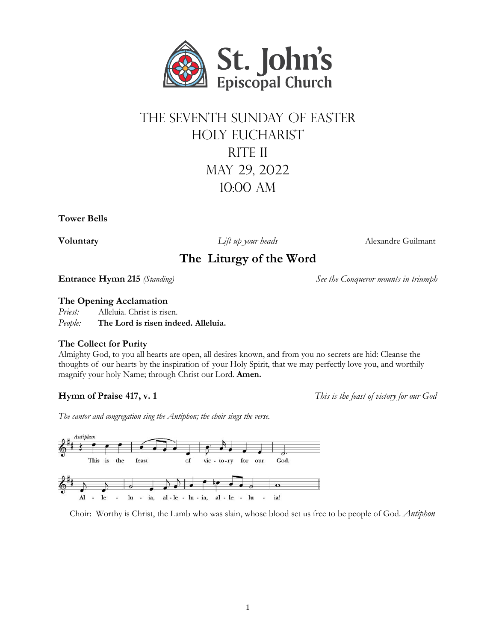

# The seventh Sunday Of Easter Holy Eucharist RITE II May 29, 2022 10:00 aM

**Tower Bells**

**Voluntary** *Lift up your heads* Alexandre Guilmant

## **The Liturgy of the Word**

**Entrance Hymn 215** *(Standing) See the Conqueror mounts in triumph*

### **The Opening Acclamation**

*Priest:* Alleluia. Christ is risen. *People:* **The Lord is risen indeed. Alleluia.**

### **The Collect for Purity**

Almighty God, to you all hearts are open, all desires known, and from you no secrets are hid: Cleanse the thoughts of our hearts by the inspiration of your Holy Spirit, that we may perfectly love you, and worthily magnify your holy Name; through Christ our Lord. **Amen.**

## **Hymn of Praise 417, v. 1** *This is the feast of victory for our God*

*The cantor and congregation sing the Antiphon; the choir sings the verse.*



Choir: Worthy is Christ, the Lamb who was slain, whose blood set us free to be people of God. *Antiphon*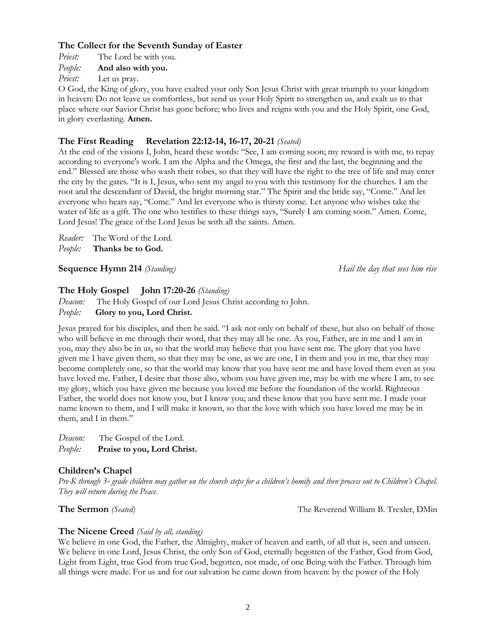#### **The Collect for the Seventh Sunday of Easter**

*Priest:* The Lord be with you.

*People:* **And also with you.**

*Priest:* Let us pray.

O God, the King of glory, you have exalted your only Son Jesus Christ with great triumph to your kingdom in heaven: Do not leave us comfortless, but send us your Holy Spirit to strengthen us, and exalt us to that place where our Savior Christ has gone before; who lives and reigns with you and the Holy Spirit, one God, in glory everlasting. **Amen.**

#### **The First Reading Revelation 22:12-14, 16-17, 20-21** *(Seated)*

At the end of the visions I, John, heard these words: "See, I am coming soon; my reward is with me, to repay according to everyone's work. I am the Alpha and the Omega, the first and the last, the beginning and the end." Blessed are those who wash their robes, so that they will have the right to the tree of life and may enter the city by the gates. "It is I, Jesus, who sent my angel to you with this testimony for the churches. I am the root and the descendant of David, the bright morning star." The Spirit and the bride say, "Come." And let everyone who hears say, "Come." And let everyone who is thirsty come. Let anyone who wishes take the water of life as a gift. The one who testifies to these things says, "Surely I am coming soon." Amen. Come, Lord Jesus! The grace of the Lord Jesus be with all the saints. Amen.

*Reader:* The Word of the Lord. *People:* **Thanks be to God.**

**Sequence Hymn 214** *(Standing) Hail the day that sees him rise*

### **The Holy Gospel John 17:20-26** *(Standing)*

*Deacon:* The Holy Gospel of our Lord Jesus Christ according to John. *People:* **Glory to you, Lord Christ.**

Jesus prayed for his disciples, and then he said. "I ask not only on behalf of these, but also on behalf of those who will believe in me through their word, that they may all be one. As you, Father, are in me and I am in you, may they also be in us, so that the world may believe that you have sent me. The glory that you have given me I have given them, so that they may be one, as we are one, I in them and you in me, that they may become completely one, so that the world may know that you have sent me and have loved them even as you have loved me. Father, I desire that those also, whom you have given me, may be with me where I am, to see my glory, which you have given me because you loved me before the foundation of the world. Righteous Father, the world does not know you, but I know you; and these know that you have sent me. I made your name known to them, and I will make it known, so that the love with which you have loved me may be in them, and I in them."

*Deacon:* The Gospel of the Lord. *People:* **Praise to you, Lord Christ.**

#### **Children's Chapel**

Pre-K through  $3\pi$  grade children may gather on the church steps for a children's homily and then process out to Children's Chapel. *They will return during the Peace.*

**The Sermon** *(Seated)* The Reverend William B. Trexler, DMin

#### **The Nicene Creed** *(Said by all, standing)*

We believe in one God, the Father, the Almighty, maker of heaven and earth, of all that is, seen and unseen. We believe in one Lord, Jesus Christ, the only Son of God, eternally begotten of the Father, God from God, Light from Light, true God from true God, begotten, not made, of one Being with the Father. Through him all things were made. For us and for our salvation he came down from heaven: by the power of the Holy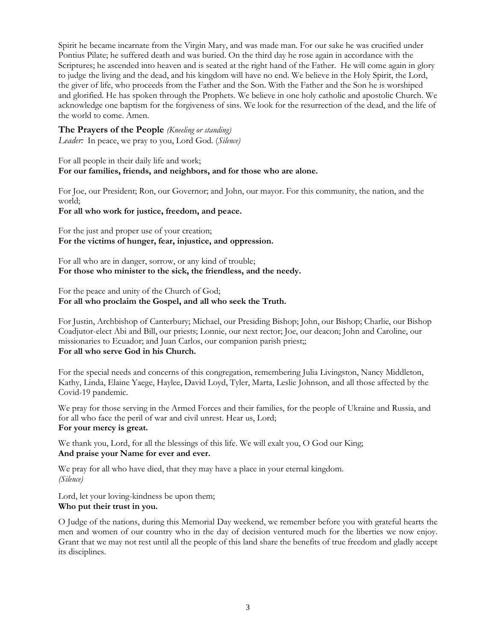Spirit he became incarnate from the Virgin Mary, and was made man. For our sake he was crucified under Pontius Pilate; he suffered death and was buried. On the third day he rose again in accordance with the Scriptures; he ascended into heaven and is seated at the right hand of the Father. He will come again in glory to judge the living and the dead, and his kingdom will have no end. We believe in the Holy Spirit, the Lord, the giver of life, who proceeds from the Father and the Son. With the Father and the Son he is worshiped and glorified. He has spoken through the Prophets. We believe in one holy catholic and apostolic Church. We acknowledge one baptism for the forgiveness of sins. We look for the resurrection of the dead, and the life of the world to come. Amen.

#### **The Prayers of the People** *(Kneeling or standing) Leader:* In peace, we pray to you, Lord God. (*Silence)*

For all people in their daily life and work; **For our families, friends, and neighbors, and for those who are alone.**

For Joe, our President; Ron, our Governor; and John, our mayor. For this community, the nation, and the world;

**For all who work for justice, freedom, and peace.**

For the just and proper use of your creation; **For the victims of hunger, fear, injustice, and oppression.**

For all who are in danger, sorrow, or any kind of trouble; **For those who minister to the sick, the friendless, and the needy.**

For the peace and unity of the Church of God; **For all who proclaim the Gospel, and all who seek the Truth.**

For Justin, Archbishop of Canterbury; Michael, our Presiding Bishop; John, our Bishop; Charlie, our Bishop Coadjutor-elect Abi and Bill, our priests; Lonnie, our next rector; Joe, our deacon; John and Caroline, our missionaries to Ecuador; and Juan Carlos, our companion parish priest;; **For all who serve God in his Church.**

For the special needs and concerns of this congregation, remembering Julia Livingston, Nancy Middleton, Kathy, Linda, Elaine Yaege, Haylee, David Loyd, Tyler, Marta, Leslie Johnson, and all those affected by the Covid-19 pandemic.

We pray for those serving in the Armed Forces and their families, for the people of Ukraine and Russia, and for all who face the peril of war and civil unrest. Hear us, Lord; **For your mercy is great.**

We thank you, Lord, for all the blessings of this life. We will exalt you, O God our King; **And praise your Name for ever and ever.**

We pray for all who have died, that they may have a place in your eternal kingdom. *(Silence)*

Lord, let your loving-kindness be upon them; **Who put their trust in you.**

O Judge of the nations, during this Memorial Day weekend, we remember before you with grateful hearts the men and women of our country who in the day of decision ventured much for the liberties we now enjoy. Grant that we may not rest until all the people of this land share the benefits of true freedom and gladly accept its disciplines.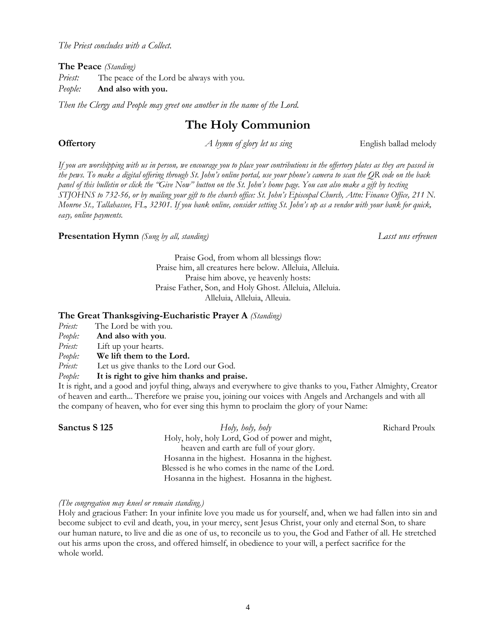*The Priest concludes with a Collect.*

**The Peace** *(Standing) Priest:* The peace of the Lord be always with you. *People:* **And also with you.**

*Then the Clergy and People may greet one another in the name of the Lord.*

## **The Holy Communion**

**Offertory** *A hymn* of *glory let us sing* English ballad melody

If you are worshipping with us in person, we encourage you to place your contributions in the offertory plates as they are passed in the pews. To make a digital offering through St. John's online portal, use your phone's camera to scan the OR code on the back panel of this bulletin or click the "Give Now" button on the St. John's home page. You can also make a gift by texting STJOHNS to 732-56, or by mailing your gift to the church office: St. John's Episcopal Church, Attn: Finance Office, 211 N. Monroe St., Tallahassee, FL, 32301. If you bank online, consider setting St. John's up as a vendor with your bank for quick, *easy, online payments.*

#### **Presentation Hymn** *(Sung by all, standing) Lasst uns erfreuen*

Praise God, from whom all blessings flow: Praise him, all creatures here below. Alleluia, Alleluia. Praise him above, ye heavenly hosts: Praise Father, Son, and Holy Ghost. Alleluia, Alleluia. Alleluia, Alleluia, Alleuia.

#### **The Great Thanksgiving-Eucharistic Prayer A** *(Standing)*

- *Priest:* The Lord be with you.
- *People:* **And also with you**.
- *Priest:* Lift up your hearts.
- *People:* **We lift them to the Lord.**
- *Priest:* Let us give thanks to the Lord our God.
- *People:* **It is right to give him thanks and praise.**

It is right, and a good and joyful thing, always and everywhere to give thanks to you, Father Almighty, Creator of heaven and earth... Therefore we praise you, joining our voices with Angels and Archangels and with all the company of heaven, who for ever sing this hymn to proclaim the glory of your Name:

**Sanctus S 125** *Holy, holy, holy* Richard Proulx Holy, holy, holy Lord, God of power and might, heaven and earth are full of your glory. Hosanna in the highest. Hosanna in the highest. Blessed is he who comes in the name of the Lord. Hosanna in the highest. Hosanna in the highest.

#### *(The congregation may kneel or remain standing.)*

Holy and gracious Father: In your infinite love you made us for yourself, and, when we had fallen into sin and become subject to evil and death, you, in your mercy, sent Jesus Christ, your only and eternal Son, to share our human nature, to live and die as one of us, to reconcile us to you, the God and Father of all. He stretched out his arms upon the cross, and offered himself, in obedience to your will, a perfect sacrifice for the whole world.

4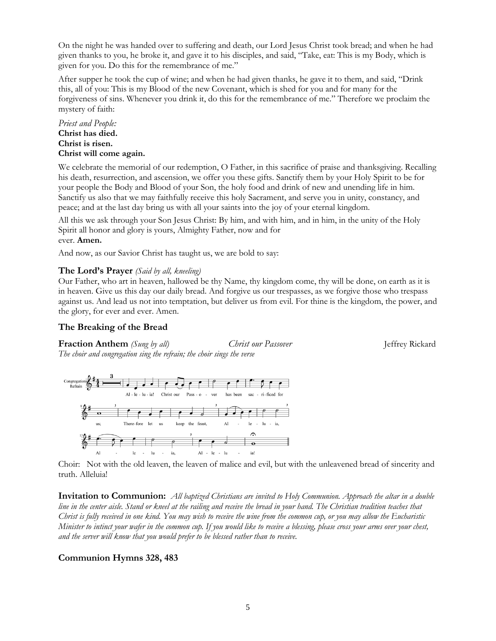On the night he was handed over to suffering and death, our Lord Jesus Christ took bread; and when he had given thanks to you, he broke it, and gave it to his disciples, and said, "Take, eat: This is my Body, which is given for you. Do this for the remembrance of me."

After supper he took the cup of wine; and when he had given thanks, he gave it to them, and said, "Drink this, all of you: This is my Blood of the new Covenant, which is shed for you and for many for the forgiveness of sins. Whenever you drink it, do this for the remembrance of me." Therefore we proclaim the mystery of faith:

#### *Priest and People:* **Christ has died. Christ is risen. Christ will come again.**

We celebrate the memorial of our redemption, O Father, in this sacrifice of praise and thanksgiving. Recalling his death, resurrection, and ascension, we offer you these gifts. Sanctify them by your Holy Spirit to be for your people the Body and Blood of your Son, the holy food and drink of new and unending life in him. Sanctify us also that we may faithfully receive this holy Sacrament, and serve you in unity, constancy, and peace; and at the last day bring us with all your saints into the joy of your eternal kingdom.

All this we ask through your Son Jesus Christ: By him, and with him, and in him, in the unity of the Holy Spirit all honor and glory is yours, Almighty Father, now and for ever. **Amen.**

And now, as our Savior Christ has taught us, we are bold to say:

#### **The Lord's Prayer** *(Said by all, kneeling)*

Our Father, who art in heaven, hallowed be thy Name, thy kingdom come, thy will be done, on earth as it is in heaven. Give us this day our daily bread. And forgive us our trespasses, as we forgive those who trespass against us. And lead us not into temptation, but deliver us from evil. For thine is the kingdom, the power, and the glory, for ever and ever. Amen.

#### **The Breaking of the Bread**





Choir: Not with the old leaven, the leaven of malice and evil, but with the unleavened bread of sincerity and truth. Alleluia!

**Invitation to Communion:** All baptized Christians are invited to Holy Communion. Approach the altar in a double line in the center aisle. Stand or kneel at the railing and receive the bread in your hand. The Christian tradition teaches that Christ is fully received in one kind. You may wish to receive the wine from the common cup, or you may allow the Eucharistic Minister to intinct your wafer in the common cup. If you would like to receive a blessing, please cross your arms over your chest, *and the server will know that you would prefer to be blessed rather than to receive.*

#### **Communion Hymns 328, 483**